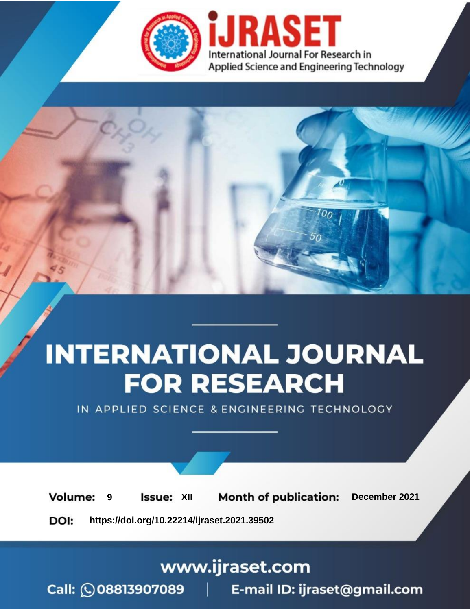

# **INTERNATIONAL JOURNAL FOR RESEARCH**

IN APPLIED SCIENCE & ENGINEERING TECHNOLOGY

**Month of publication: Volume: Issue: XII** December 2021 9 DOI: https://doi.org/10.22214/ijraset.2021.39502

### www.ijraset.com

Call: 008813907089 | E-mail ID: ijraset@gmail.com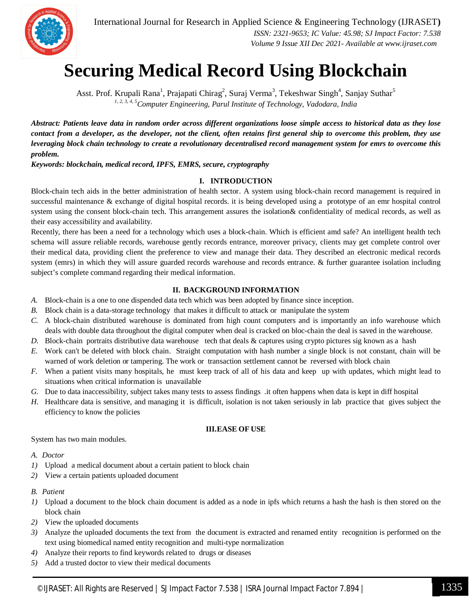

## **Securing Medical Record Using Blockchain**

Asst. Prof. Krupali Rana<sup>1</sup>, Prajapati Chirag<sup>2</sup>, Suraj Verma<sup>3</sup>, Tekeshwar Singh<sup>4</sup>, Sanjay Suthar<sup>5</sup> *1, 2, 3, 4, 5Computer Engineering, Parul Institute of Technology, Vadodara, India*

*Abstract: Patients leave data in random order across different organizations loose simple access to historical data as they lose contact from a developer, as the developer, not the client, often retains first general ship to overcome this problem, they use leveraging block chain technology to create a revolutionary decentralised record management system for emrs to overcome this problem.*

*Keywords: blockchain, medical record, IPFS, EMRS, secure, cryptography*

#### **I. INTRODUCTION**

Block-chain tech aids in the better administration of health sector. A system using block-chain record management is required in successful maintenance & exchange of digital hospital records. it is being developed using a prototype of an emr hospital control system using the consent block-chain tech. This arrangement assures the isolation& confidentiality of medical records, as well as their easy accessibility and availability.

Recently, there has been a need for a technology which uses a block-chain. Which is efficient amd safe? An intelligent health tech schema will assure reliable records, warehouse gently records entrance, moreover privacy, clients may get complete control over their medical data, providing client the preference to view and manage their data. They described an electronic medical records system (emrs) in which they will assure guarded records warehouse and records entrance. & further guarantee isolation including subject's complete command regarding their medical information.

#### **II. BACKGROUND INFORMATION**

- *A.* Block-chain is a one to one dispended data tech which was been adopted by finance since inception.
- *B.* Block chain is a data-storage technology that makes it difficult to attack or manipulate the system
- *C.* A block-chain distributed warehouse is dominated from high count computers and is importantly an info warehouse which deals with double data throughout the digital computer when deal is cracked on bloc-chain the deal is saved in the warehouse.
- *D.* Block-chain portraits distributive data warehouse tech that deals & captures using crypto pictures sig known as a hash
- *E.* Work can't be deleted with block chain. Straight computation with hash number a single block is not constant, chain will be warned of work deletion or tampering. The work or transaction settlement cannot be reversed with block chain
- *F.* When a patient visits many hospitals, he must keep track of all of his data and keep up with updates, which might lead to situations when critical information is unavailable
- *G.* Due to data inaccessibility, subject takes many tests to assess findings .it often happens when data is kept in diff hospital
- *H.* Healthcare data is sensitive, and managing it is difficult, isolation is not taken seriously in lab practice that gives subject the efficiency to know the policies

#### **III.EASE OF USE**

System has two main modules.

#### *A. Doctor*

- *1)* Upload a medical document about a certain patient to block chain
- *2)* View a certain patients uploaded document

#### *B. Patient*

- *1)* Upload a document to the block chain document is added as a node in ipfs which returns a hash the hash is then stored on the block chain
- *2)* View the uploaded documents
- *3)* Analyze the uploaded documents the text from the document is extracted and renamed entity recognition is performed on the text using biomedical named entity recognition and multi-type normalization
- *4)* Analyze their reports to find keywords related to drugs or diseases
- *5)* Add a trusted doctor to view their medical documents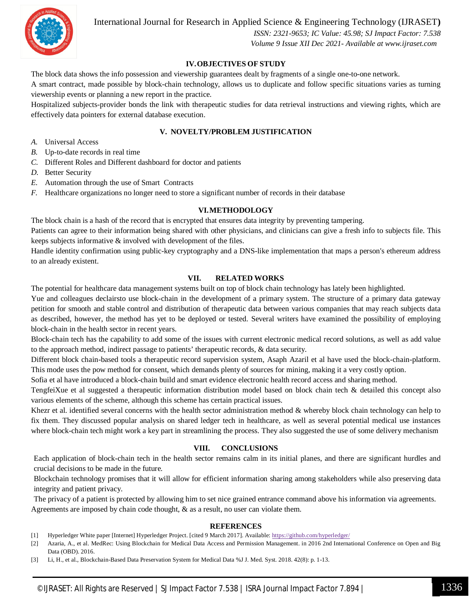

International Journal for Research in Applied Science & Engineering Technology (IJRASET**)**

 *ISSN: 2321-9653; IC Value: 45.98; SJ Impact Factor: 7.538 Volume 9 Issue XII Dec 2021- Available at www.ijraset.com*

#### **IV.OBJECTIVES OF STUDY**

The block data shows the info possession and viewership guarantees dealt by fragments of a single one-to-one network.

A smart contract, made possible by block-chain technology, allows us to duplicate and follow specific situations varies as turning viewership events or planning a new report in the practice.

Hospitalized subjects-provider bonds the link with therapeutic studies for data retrieval instructions and viewing rights, which are effectively data pointers for external database execution.

#### **V. NOVELTY/PROBLEM JUSTIFICATION**

- *A.* Universal Access
- *B.* Up-to-date records in real time
- *C.* Different Roles and Different dashboard for doctor and patients
- *D.* Better Security
- *E.* Automation through the use of Smart Contracts
- *F.* Healthcare organizations no longer need to store a significant number of records in their database

#### **VI.METHODOLOGY**

The block chain is a hash of the record that is encrypted that ensures data integrity by preventing tampering.

Patients can agree to their information being shared with other physicians, and clinicians can give a fresh info to subjects file. This keeps subjects informative & involved with development of the files.

Handle identity confirmation using public-key cryptography and a DNS-like implementation that maps a person's ethereum address to an already existent.

#### **VII. RELATED WORKS**

The potential for healthcare data management systems built on top of block chain technology has lately been highlighted.

Yue and colleagues declairsto use block-chain in the development of a primary system. The structure of a primary data gateway petition for smooth and stable control and distribution of therapeutic data between various companies that may reach subjects data as described, however, the method has yet to be deployed or tested. Several writers have examined the possibility of employing block-chain in the health sector in recent years.

Block-chain tech has the capability to add some of the issues with current electronic medical record solutions, as well as add value to the approach method, indirect passage to patients' therapeutic records, & data security.

Different block chain-based tools a therapeutic record supervision system, Asaph Azaril et al have used the block-chain-platform. This mode uses the pow method for consent, which demands plenty of sources for mining, making it a very costly option.

Sofia et al have introduced a block-chain build and smart evidence electronic health record access and sharing method.

TengfeiXue et al suggested a therapeutic information distribution model based on block chain tech & detailed this concept also various elements of the scheme, although this scheme has certain practical issues.

Khezr et al. identified several concerns with the health sector administration method & whereby block chain technology can help to fix them. They discussed popular analysis on shared ledger tech in healthcare, as well as several potential medical use instances where block-chain tech might work a key part in streamlining the process. They also suggested the use of some delivery mechanism

#### **VIII. CONCLUSIONS**

Each application of block-chain tech in the health sector remains calm in its initial planes, and there are significant hurdles and crucial decisions to be made in the future.

Blockchain technology promises that it will allow for efficient information sharing among stakeholders while also preserving data integrity and patient privacy.

The privacy of a patient is protected by allowing him to set nice grained entrance command above his information via agreements. Agreements are imposed by chain code thought,  $\&$  as a result, no user can violate them.

#### **REFERENCES**

- [1] Hyperledger White paper [Internet] Hyperledger Project. [cited 9 March 2017]. Available: https://github.com/hyperledger/
- [2] Azaria, A., et al. MedRec: Using Blockchain for Medical Data Access and Permission Management. in 2016 2nd International Conference on Open and Big Data (OBD). 2016.
- [3] Li, H., et al., Blockchain-Based Data Preservation System for Medical Data %J J. Med. Syst. 2018. 42(8): p. 1-13.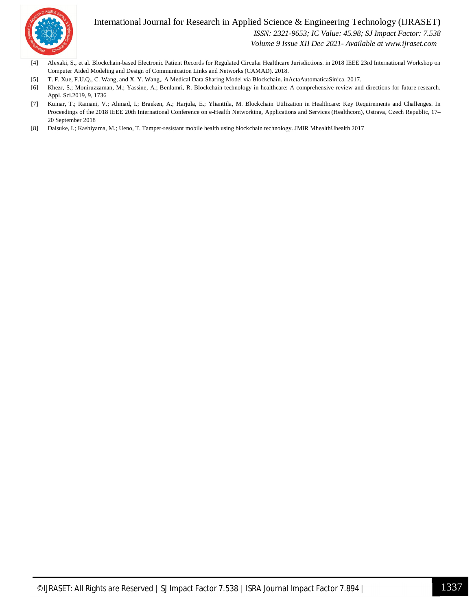

#### International Journal for Research in Applied Science & Engineering Technology (IJRASET**)**

 *ISSN: 2321-9653; IC Value: 45.98; SJ Impact Factor: 7.538*

 *Volume 9 Issue XII Dec 2021- Available at www.ijraset.com*

- [4] Alexaki, S., et al. Blockchain-based Electronic Patient Records for Regulated Circular Healthcare Jurisdictions. in 2018 IEEE 23rd International Workshop on Computer Aided Modeling and Design of Communication Links and Networks (CAMAD). 2018.
- [5] T. F. Xue, F.U.Q., C. Wang, and X. Y. Wang,. A Medical Data Sharing Model via Blockchain. inActaAutomaticaSinica. 2017.
- [6] Khezr, S.; Moniruzzaman, M.; Yassine, A.; Benlamri, R. Blockchain technology in healthcare: A comprehensive review and directions for future research. Appl. Sci.2019, 9, 1736
- [7] Kumar, T.; Ramani, V.; Ahmad, I.; Braeken, A.; Harjula, E.; Ylianttila, M. Blockchain Utilization in Healthcare: Key Requirements and Challenges. In Proceedings of the 2018 IEEE 20th International Conference on e-Health Networking, Applications and Services (Healthcom), Ostrava, Czech Republic, 17– 20 September 2018
- [8] Daisuke, I.; Kashiyama, M.; Ueno, T. Tamper-resistant mobile health using blockchain technology. JMIR MhealthUhealth 2017